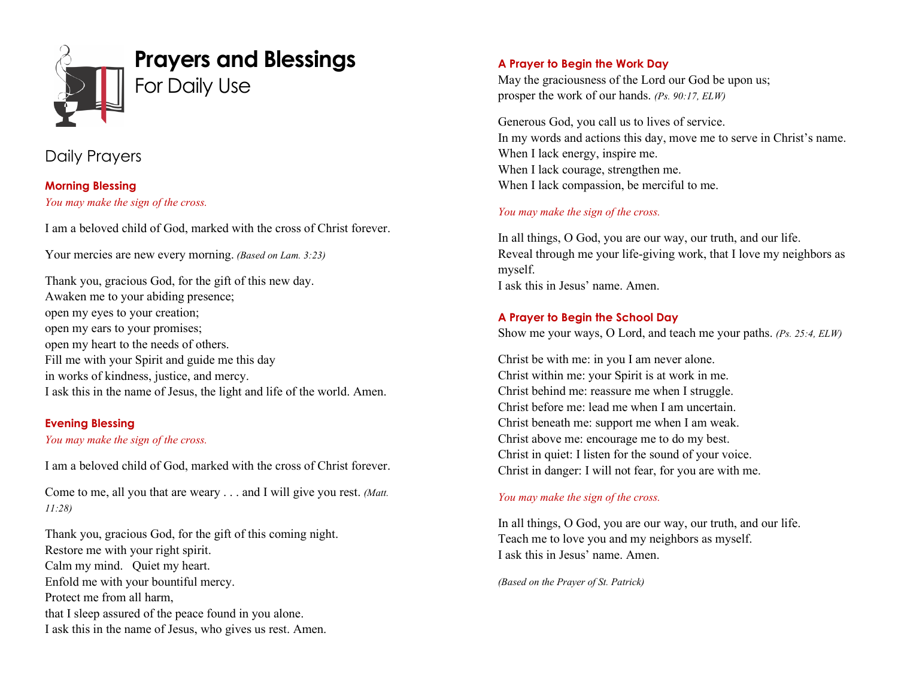

# Daily Prayers

**Morning Blessing** *You may make the sign of the cross.*

I am a beloved child of God, marked with the cross of Christ forever.

Your mercies are new every morning. *(Based on Lam. 3:23)*

Thank you, gracious God, for the gift of this new day. Awaken me to your abiding presence; open my eyes to your creation; open my ears to your promises; open my heart to the needs of others. Fill me with your Spirit and guide me this day in works of kindness, justice, and mercy. I ask this in the name of Jesus, the light and life of the world. Amen.

### **Evening Blessing**

### *You may make the sign of the cross.*

I am a beloved child of God, marked with the cross of Christ forever.

Come to me, all you that are weary . . . and I will give you rest. *(Matt. 11:28)*

Thank you, gracious God, for the gift of this coming night. Restore me with your right spirit. Calm my mind. Quiet my heart. Enfold me with your bountiful mercy. Protect me from all harm, that I sleep assured of the peace found in you alone. I ask this in the name of Jesus, who gives us rest. Amen.

# **A Prayer to Begin the Work Day**

May the graciousness of the Lord our God be upon us; prosper the work of our hands. *(Ps. 90:17, ELW)*

Generous God, you call us to lives of service. In my words and actions this day, move me to serve in Christ's name. When I lack energy, inspire me. When I lack courage, strengthen me. When I lack compassion, be merciful to me.

# *You may make the sign of the cross.*

In all things, O God, you are our way, our truth, and our life. Reveal through me your life-giving work, that I love my neighbors as myself. I ask this in Jesus' name. Amen.

# **A Prayer to Begin the School Day**

Show me your ways, O Lord, and teach me your paths. *(Ps. 25:4, ELW)*

Christ be with me: in you I am never alone. Christ within me: your Spirit is at work in me. Christ behind me: reassure me when I struggle. Christ before me: lead me when I am uncertain. Christ beneath me: support me when I am weak. Christ above me: encourage me to do my best. Christ in quiet: I listen for the sound of your voice. Christ in danger: I will not fear, for you are with me.

### *You may make the sign of the cross.*

In all things, O God, you are our way, our truth, and our life. Teach me to love you and my neighbors as myself. I ask this in Jesus' name. Amen.

*(Based on the Prayer of St. Patrick)*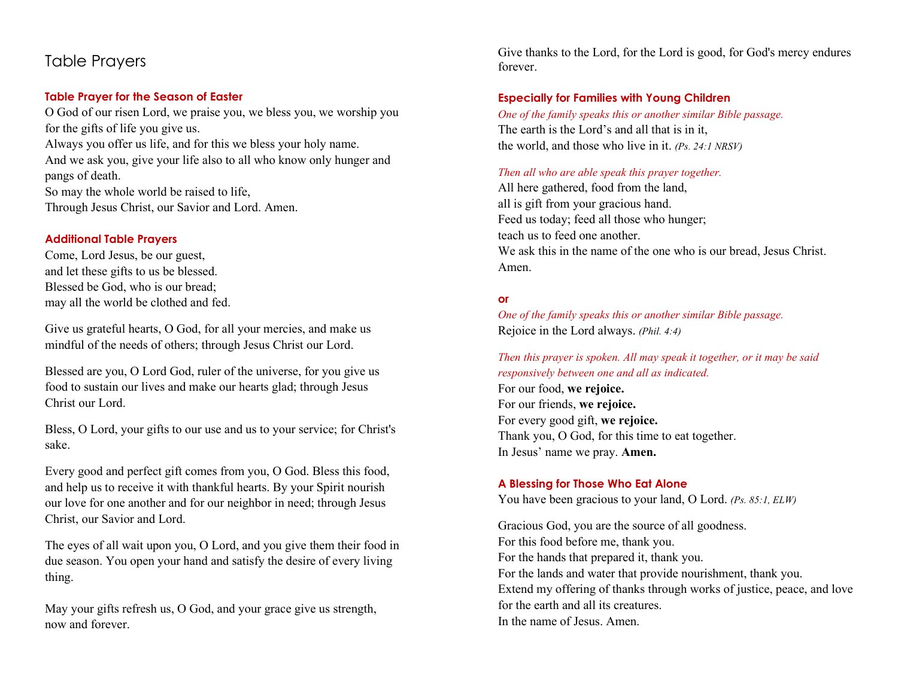# Table Prayers

# **Table Prayer for the Season of Easter**

O God of our risen Lord, we praise you, we bless you, we worship you for the gifts of life you give us. Always you offer us life, and for this we bless your holy name. And we ask you, give your life also to all who know only hunger and pangs of death. So may the whole world be raised to life,

Through Jesus Christ, our Savior and Lord. Amen.

### **Additional Table Prayers**

Come, Lord Jesus, be our guest, and let these gifts to us be blessed. Blessed be God, who is our bread; may all the world be clothed and fed.

Give us grateful hearts, O God, for all your mercies, and make us mindful of the needs of others; through Jesus Christ our Lord.

Blessed are you, O Lord God, ruler of the universe, for you give us food to sustain our lives and make our hearts glad; through Jesus Christ our Lord.

Bless, O Lord, your gifts to our use and us to your service; for Christ's sake.

Every good and perfect gift comes from you, O God. Bless this food, and help us to receive it with thankful hearts. By your Spirit nourish our love for one another and for our neighbor in need; through Jesus Christ, our Savior and Lord.

The eyes of all wait upon you, O Lord, and you give them their food in due season. You open your hand and satisfy the desire of every living thing.

May your gifts refresh us, O God, and your grace give us strength, now and forever.

Give thanks to the Lord, for the Lord is good, for God's mercy endures forever.

# **Especially for Families with Young Children**

*One of the family speaks this or another similar Bible passage.* The earth is the Lord's and all that is in it, the world, and those who live in it. *(Ps. 24:1 NRSV)*

#### *Then all who are able speak this prayer together.*

All here gathered, food from the land, all is gift from your gracious hand. Feed us today; feed all those who hunger; teach us to feed one another. We ask this in the name of the one who is our bread, Jesus Christ. Amen.

# **or**

*One of the family speaks this or another similar Bible passage.* Rejoice in the Lord always. *(Phil. 4:4)*

*Then this prayer is spoken. All may speak it together, or it may be said responsively between one and all as indicated.*

For our food, **we rejoice.** For our friends, **we rejoice.** For every good gift, **we rejoice.** Thank you, O God, for this time to eat together. In Jesus' name we pray. **Amen.**

### **A Blessing for Those Who Eat Alone**

You have been gracious to your land, O Lord. *(Ps. 85:1, ELW)*

Gracious God, you are the source of all goodness. For this food before me, thank you. For the hands that prepared it, thank you. For the lands and water that provide nourishment, thank you. Extend my offering of thanks through works of justice, peace, and love for the earth and all its creatures. In the name of Jesus. Amen.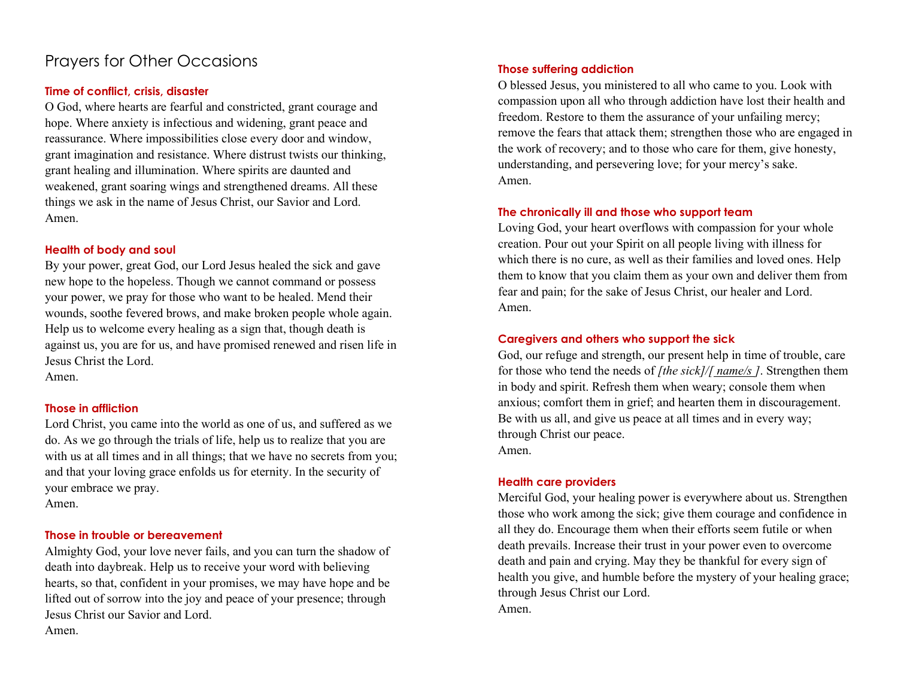# Prayers for Other Occasions

### **Time of conflict, crisis, disaster**

O God, where hearts are fearful and constricted, grant courage and hope. Where anxiety is infectious and widening, grant peace and reassurance. Where impossibilities close every door and window, grant imagination and resistance. Where distrust twists our thinking, grant healing and illumination. Where spirits are daunted and weakened, grant soaring wings and strengthened dreams. All these things we ask in the name of Jesus Christ, our Savior and Lord. Amen.

#### **Health of body and soul**

By your power, great God, our Lord Jesus healed the sick and gave new hope to the hopeless. Though we cannot command or possess your power, we pray for those who want to be healed. Mend their wounds, soothe fevered brows, and make broken people whole again. Help us to welcome every healing as a sign that, though death is against us, you are for us, and have promised renewed and risen life in Jesus Christ the Lord.

Amen.

### **Those in affliction**

Lord Christ, you came into the world as one of us, and suffered as we do. As we go through the trials of life, help us to realize that you are with us at all times and in all things; that we have no secrets from you; and that your loving grace enfolds us for eternity. In the security of your embrace we pray. Amen.

### **Those in trouble or bereavement**

Almighty God, your love never fails, and you can turn the shadow of death into daybreak. Help us to receive your word with believing hearts, so that, confident in your promises, we may have hope and be lifted out of sorrow into the joy and peace of your presence; through Jesus Christ our Savior and Lord. Amen.

# **Those suffering addiction**

O blessed Jesus, you ministered to all who came to you. Look with compassion upon all who through addiction have lost their health and freedom. Restore to them the assurance of your unfailing mercy; remove the fears that attack them; strengthen those who are engaged in the work of recovery; and to those who care for them, give honesty, understanding, and persevering love; for your mercy's sake. Amen.

#### **The chronically ill and those who support team**

Loving God, your heart overflows with compassion for your whole creation. Pour out your Spirit on all people living with illness for which there is no cure, as well as their families and loved ones. Help them to know that you claim them as your own and deliver them from fear and pain; for the sake of Jesus Christ, our healer and Lord. Amen.

### **Caregivers and others who support the sick**

God, our refuge and strength, our present help in time of trouble, care for those who tend the needs of *[the sick]/[ name/s ]*. Strengthen them in body and spirit. Refresh them when weary; console them when anxious; comfort them in grief; and hearten them in discouragement. Be with us all, and give us peace at all times and in every way; through Christ our peace. Amen.

#### **Health care providers**

Merciful God, your healing power is everywhere about us. Strengthen those who work among the sick; give them courage and confidence in all they do. Encourage them when their efforts seem futile or when death prevails. Increase their trust in your power even to overcome death and pain and crying. May they be thankful for every sign of health you give, and humble before the mystery of your healing grace; through Jesus Christ our Lord. Amen.